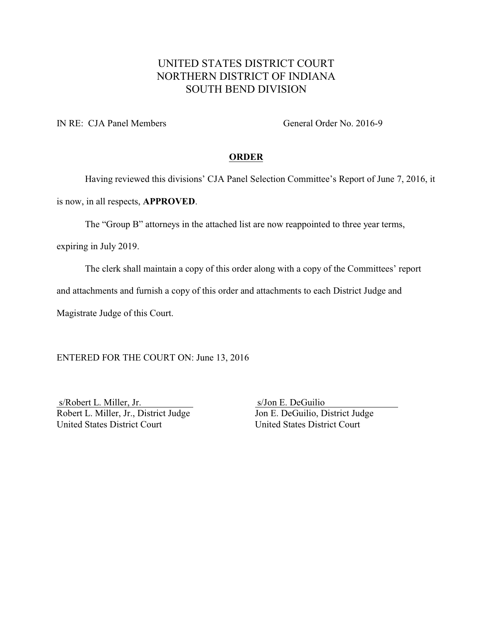### UNITED STATES DISTRICT COURT NORTHERN DISTRICT OF INDIANA SOUTH BEND DIVISION

IN RE: CJA Panel Members General Order No. 2016-9

#### **ORDER**

Having reviewed this divisions' CJA Panel Selection Committee's Report of June 7, 2016, it

is now, in all respects, **APPROVED**.

The "Group B" attorneys in the attached list are now reappointed to three year terms,

expiring in July 2019.

The clerk shall maintain a copy of this order along with a copy of the Committees' report

and attachments and furnish a copy of this order and attachments to each District Judge and

Magistrate Judge of this Court.

ENTERED FOR THE COURT ON: June 13, 2016

s/Robert L. Miller, Jr.<br>
Robert L. Miller, Jr., District Judge Jon E. DeGuilio, District Judge Robert L. Miller, Jr., District Judge United States District Court United States District Court